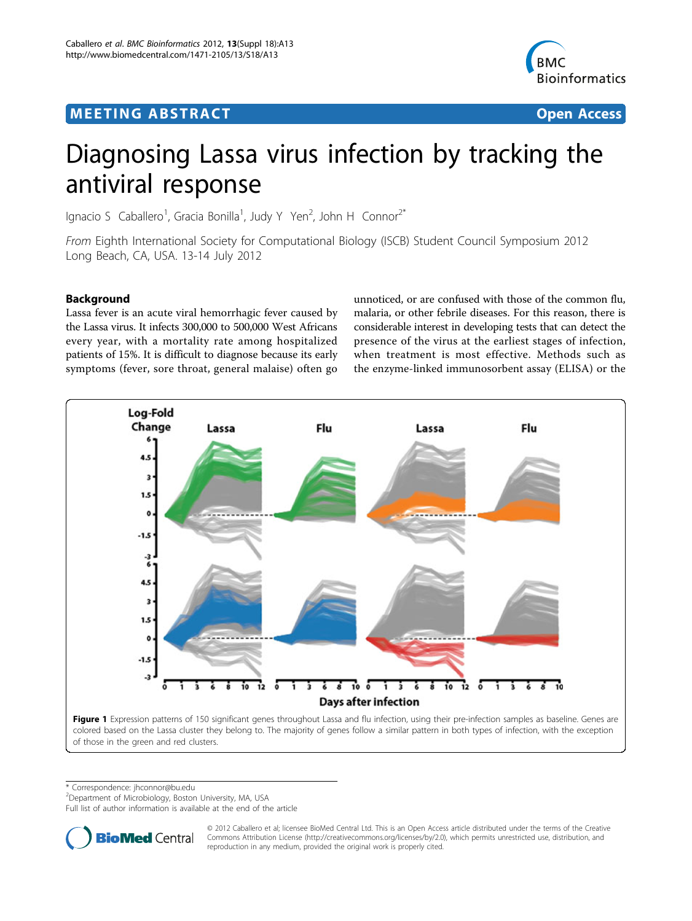# **MEETING ABSTRACT ACCESS**



# Diagnosing Lassa virus infection by tracking the antiviral response

Ignacio S Caballero<sup>1</sup>, Gracia Bonilla<sup>1</sup>, Judy Y Yen<sup>2</sup>, John H Connor<sup>2\*</sup>

From Eighth International Society for Computational Biology (ISCB) Student Council Symposium 2012 Long Beach, CA, USA. 13-14 July 2012

## Background

Lassa fever is an acute viral hemorrhagic fever caused by the Lassa virus. It infects 300,000 to 500,000 West Africans every year, with a mortality rate among hospitalized patients of 15%. It is difficult to diagnose because its early symptoms (fever, sore throat, general malaise) often go

unnoticed, or are confused with those of the common flu, malaria, or other febrile diseases. For this reason, there is considerable interest in developing tests that can detect the presence of the virus at the earliest stages of infection, when treatment is most effective. Methods such as the enzyme-linked immunosorbent assay (ELISA) or the



\* Correspondence: [jhconnor@bu.edu](mailto:jhconnor@bu.edu)

<sup>2</sup>Department of Microbiology, Boston University, MA, USA

Full list of author information is available at the end of the article



© 2012 Caballero et al; licensee BioMed Central Ltd. This is an Open Access article distributed under the terms of the Creative Commons Attribution License [\(http://creativecommons.org/licenses/by/2.0](http://creativecommons.org/licenses/by/2.0)), which permits unrestricted use, distribution, and reproduction in any medium, provided the original work is properly cited.